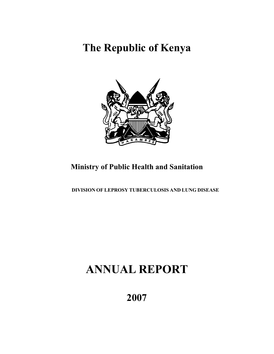# **The Republic of Kenya**



## **Ministry of Public Health and Sanitation**

 **DIVISION OF LEPROSY TUBERCULOSIS AND LUNG DISEASE** 

# **ANNUAL REPORT**

**2007**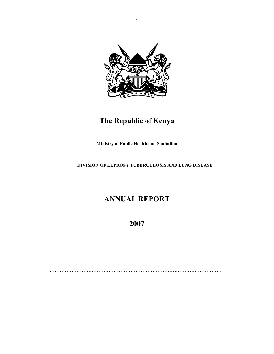

## **The Republic of Kenya**

**Ministry of Public Health and Sanitation** 

 **DIVISION OF LEPROSY TUBERCULOSIS AND LUNG DISEASE** 

## **ANNUAL REPORT**

**2007**

…………………………………………………………………………………………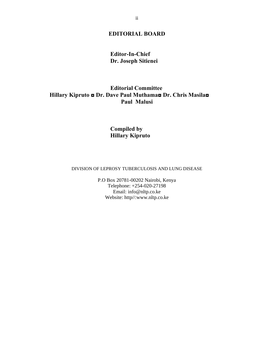## **EDITORIAL BOARD**

## **Editor-In-Chief Dr. Joseph Sitienei**

## **Editorial Committee Hillary Kipruto ◘ Dr. Dave Paul Muthama◘ Dr. Chris Masila◘ Paul Malusi**

## **Compiled by Hillary Kipruto**

#### DIVISION OF LEPROSY TUBERCULOSIS AND LUNG DISEASE

P.O Box 20781-00202 Nairobi, Kenya Telephone: +254-020-27198 Email: info@nltp.co.ke Website: http//:www.nltp.co.ke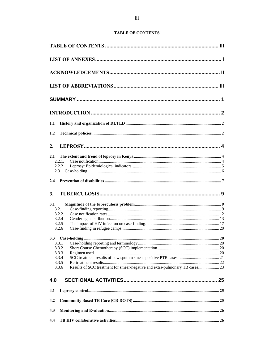#### **TABLE OF CONTENTS**

| 1.1                                                                                  |  |
|--------------------------------------------------------------------------------------|--|
| 1.2                                                                                  |  |
| 2.                                                                                   |  |
| 2.1<br>2.2.1.                                                                        |  |
| 2.2.2                                                                                |  |
| 2.3                                                                                  |  |
| 2.4                                                                                  |  |
|                                                                                      |  |
| 3.                                                                                   |  |
|                                                                                      |  |
| 3.1<br>3.2.1                                                                         |  |
| 3.2.2.                                                                               |  |
| 3.2.4                                                                                |  |
| 3.2.5                                                                                |  |
| 3.2.6                                                                                |  |
|                                                                                      |  |
| 3.3.1                                                                                |  |
| 3.3.2                                                                                |  |
| 3.3.3                                                                                |  |
| 3.3.4                                                                                |  |
| 3.3.5                                                                                |  |
| Results of SCC treatment for smear-negative and extra-pulmonary TB cases 23<br>3.3.6 |  |
| 4.0                                                                                  |  |
| 4.1                                                                                  |  |
| 4.2                                                                                  |  |
| 4.3                                                                                  |  |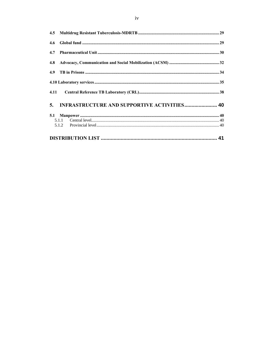| 4.5  |                                                    |  |
|------|----------------------------------------------------|--|
| 4.6  |                                                    |  |
| 4.7  |                                                    |  |
| 4.8  |                                                    |  |
| 4.9  |                                                    |  |
|      |                                                    |  |
| 4.11 |                                                    |  |
| 5.   | <b>INFRASTRUCTURE AND SUPPORTIVE ACTIVITIES 40</b> |  |
|      |                                                    |  |
|      |                                                    |  |
|      |                                                    |  |
|      |                                                    |  |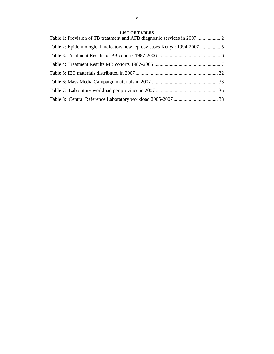#### **LIST OF TABLES**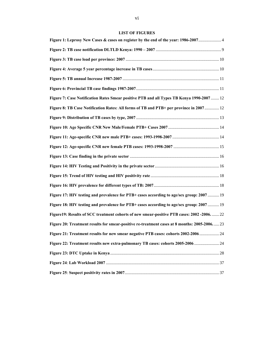#### **LIST OF FIGURES**

| Figure 7: Case Notification Rates Smear positive PTB and all Types TB Kenya 1990-2007 12     |  |
|----------------------------------------------------------------------------------------------|--|
| Figure 8: TB Case Notification Rates: All forms of TB and PTB+ per province in 2007 12       |  |
|                                                                                              |  |
|                                                                                              |  |
|                                                                                              |  |
|                                                                                              |  |
|                                                                                              |  |
|                                                                                              |  |
|                                                                                              |  |
|                                                                                              |  |
| Figure 17: HIV testing and prevalence for PTB+ cases according to age/sex group: 2007  19    |  |
| Figure 18: HIV testing and prevalence for PTB+ cases according to age/sex group: 2007  19    |  |
| Figure19: Results of SCC treatment cohorts of new smear-positive PTB cases: 2002-2006 22     |  |
| Figure 20: Treatment results for smear-positive re-treatment cases at 8 months: 2005-2006 23 |  |
| Figure 21: Treatment results for new smear negative PTB cases: cohorts 2002-2006  24         |  |
| Figure 22: Treatment results new extra-pulmonary TB cases: cohorts 2005-2006 24              |  |
|                                                                                              |  |
|                                                                                              |  |
|                                                                                              |  |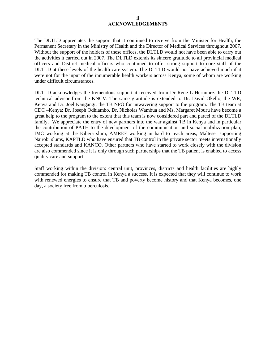#### ii **ACKNOWLEDGEMENTS**

The DLTLD appreciates the support that it continued to receive from the Minister for Health, the Permanent Secretary in the Ministry of Health and the Director of Medical Services throughout 2007. Without the support of the holders of these offices, the DLTLD would not have been able to carry out the activities it carried out in 2007. The DLTLD extends its sincere gratitude to all provincial medical officers and District medical officers who continued to offer strong support to core staff of the DLTLD at these levels of the health care system. The DLTLD would not have achieved much if it were not for the input of the innumerable health workers across Kenya, some of whom are working under difficult circumstances.

DLTLD acknowledges the tremendous support it received from Dr Rene L'Herminez the DLTLD technical advisor from the KNCV. The same gratitude is extended to Dr. David Okello, the WR, Kenya and Dr. Joel Kangangi, the TB NPO for unwavering support to the program. The TB team at CDC –Kenya: Dr. Joseph Odhiambo, Dr. Nicholas Wambua and Ms. Margaret Mburu have become a great help to the program to the extent that this team is now considered part and parcel of the DLTLD family. We appreciate the entry of new partners into the war against TB in Kenya and in particular the contribution of PATH to the development of the communication and social mobilization plan, IMC working at the Kibera slum, AMREF working in hard to reach areas, Malteser supporting Nairobi slums, KAPTLD who have ensured that TB control in the private sector meets internationally accepted standards and KANCO. Other partners who have started to work closely with the division are also commended since it is only through such partnerships that the TB patient is enabled to access quality care and support.

Staff working within the division: central unit, provinces, districts and health facilities are highly commended for making TB control in Kenya a success. It is expected that they will continue to work with renewed energies to ensure that TB and poverty become history and that Kenya becomes, one day, a society free from tuberculosis.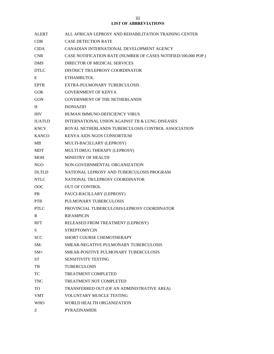**LIST OF ABBREVIATIONS** 

| <b>ALERT</b>   | ALL AFRICAN LEPROSY AND REHABILITATION TRAINING CENTER         |
|----------------|----------------------------------------------------------------|
| CDR.           | <b>CASE DETECTION RATE</b>                                     |
| <b>CIDA</b>    | CANADIAN INTERNATIONAL DEVELOPMENT AGENCY                      |
| <b>CNR</b>     | CASE NOTIFICATION RATE (NUMBER OF CASES NOTIFIED/100,000 POP.) |
| DMS.           | DIRECTOR OF MEDICAL SERVICES                                   |
| <b>DTLC</b>    | DISTRICT TB/LEPROSY COORDINATOR                                |
| Ε              | <b>ETHAMBUTOL</b>                                              |
| <b>EPTB</b>    | EXTRA-PULMONARY TUBERCULOSIS                                   |
| <b>GOK</b>     | <b>GOVERNMENT OF KENYA</b>                                     |
| <b>GON</b>     | <b>GOVERNMENT OF THE NETHERLANDS</b>                           |
| H              | <b>ISONIAZID</b>                                               |
| <b>HIV</b>     | HUMAN IMMUNO-DEFICIENCY VIRUS                                  |
| <b>IUATLD</b>  | INTERNATIONAL UNION AGAINST TB & LUNG DISEASES                 |
| <b>KNCV</b>    | ROYAL NETHERLANDS TUBERCULOSIS CONTROL ASSOCIATION             |
| <b>KANCO</b>   | KENYA AIDS NGOS CONSORTIUM                                     |
| MВ             | MULTI-BACILLARY (LEPROSY)                                      |
| <b>MDT</b>     | MULTI DRUG THERAPY (LEPROSY)                                   |
| MOH            | <b>MINISTRY OF HEALTH</b>                                      |
| NGO            | NON-GOVERNMENTAL ORGANIZATION                                  |
| <b>DLTLD</b>   | NATIONAL LEPROSY AND TUBERCULOSIS PROGRAM                      |
| <b>NTLC</b>    | NATIONAL TB/LEPROSY COORDINATOR                                |
| <sub>OOC</sub> | <b>OUT OF CONTROL</b>                                          |
| <b>PB</b>      | PAUCI-BACILLARY (LEPROSY)                                      |
| PTB            | PULMONARY TUBERCULOSIS                                         |
| <b>PTLC</b>    | PROVINCIAL TUBERCULOSIS/LEPROSY COORDINATOR                    |
| R              | <b>RIFAMPICIN</b>                                              |
| <b>RFT</b>     | RELEASED FROM TREATMENT (LEPROSY)                              |
| S              | <b>STREPTOMYCIN</b>                                            |
| <b>SCC</b>     | SHORT COURSE CHEMOTHERAPY                                      |
| SM-            | SMEAR-NEGATIVE PULMONARY TUBERCULOSIS                          |
| $SM+$          | SMEAR-POSITIVE PULMONARY TUBERCULOSIS                          |
| <b>ST</b>      | <b>SENSITIVITY TESTING</b>                                     |
| TB             | <b>TUBERCULOSIS</b>                                            |
| TC             | <b>TREATMENT COMPLETED</b>                                     |
| <b>TNC</b>     | <b>TREATMENT NOT COMPLETED</b>                                 |
| TO             | TRANSFERRED OUT (OF AN ADMINISTRATIVE AREA)                    |
| <b>VMT</b>     | <b>VOLUNTARY MUSCLE TESTING</b>                                |
| <b>WHO</b>     | WORLD HEALTH ORGANIZATION                                      |
| Ζ              | PYRAZINAMIDE                                                   |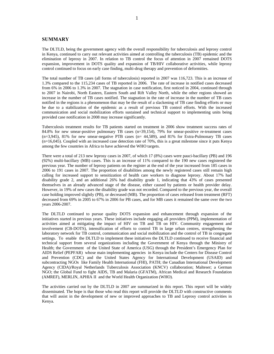#### **SUMMARY**

The DLTLD, being the government agency with the overall responsibility for tuberculosis and leprosy control in Kenya, continued to carry out relevant activities aimed at controlling the tuberculosis (TB) epidemic and the elimination of leprosy in 2007. In relation to TB control the focus of attention in 2007 remained DOTS expansion, improvement in DOTS quality and expansion of TB/HIV collaborative activities, while leprosy control continued to focus on early case finding, multi-drug therapy and prevention of deformities.

The total number of TB cases (all forms of tuberculosis) reported in 2007 was 116,723. This is an increase of 1.3% compared to the 115,234 cases of TB reported in 2006. The rate of increase in notified cases decreased from 6% in 2006 to 1.3% in 2007. The stagnation in case notification, first noticed in 2004, continued through to 2007 in Nairobi, North Eastern, Eastern South and Rift Valley North, while the other regions showed an increase in the number of TB cases notified. The stagnation in the rate of increase in the number of TB cases notified in the regions is a phenomenon that may be the result of a slackening of TB case finding efforts or may be due to a stabilization of the epidemic as a result of previous TB control efforts. With the increased communication and social mobilization efforts sustained and technical support to implementing units being provided case notification in 2008 may increase significantly.

Tuberculosis treatment results for TB patients started on treatment in 2006 show treatment success rates of 84.8% for new smear-positive pulmonary TB cases (n=39,154), 79% for smear-positive re-treatment cases (n=3,945), 81% for new smear-negative PTB cases (n= 44,589), and 81% for Extra-Pulmonary TB cases (n=16,045). Coupled with an increased case detection rate of 70%, this is a great milestone since it puts Kenya among the few countries in Africa to have achieved the WHO targets.

There were a total of 213 new leprosy cases in 2007, of which 17 (8%) cases were pauci-bacillary (PB) and 196 (92%) multi-bacillary (MB) cases. This is an increase of 11% compared to the 190 new cases registered the previous year. The number of leprosy patients on the register at the end of the year increased from 185 cases in 2006 to 191 cases in 2007. The proportion of disabilities among the newly registered cases still remain high calling for increased support to sensitization of health care workers to diagnose leprosy. About 17% had disability grade 2, and an additional 26% had disability grade 1, indicating that 43% of cases presented themselves in an already advanced stage of the disease, either caused by patients or health provider delay. However, in 19% of new cases the disability grade was not recorded. Compared to the previous year, the overall case holding improved slightly (PB), or decreased (MB). The proportion of cases released from treatment (RFT) decreased from 69% in 2005 to 67% in 2006 for PB cases, and for MB cases it remained the same over the two years 2006-2007.

The DLTLD continued to pursue quality DOTS expansion and enhancement through expansion of the initiatives started in previous years. These initiatives include engaging all providers (PPM), implementation of activities aimed at mitigating the impact of HIV on TB and TB on HIV. Community engagement and involvement (CB-DOTS), intensification of efforts to control TB in large urban centres, strengthening the laboratory network for TB control, communication and social mobilization and the control of TB in congregate settings. To enable the DLTLD to implement these initiatives the DLTLD continued to receive financial and technical support from several organizations including the Government of Kenya through the Ministry of Health; the Government of the United State of America (USG) through the President's Emergency Plan for AIDS Relief (PEPFAR) whose main implementing agencies in Kenya include the Centers for Disease Control and Prevention (CDC) and the United States Agency for International Development (USAID) and subcontracting NGOs like Family Health International (FHI), PATH; the Canadian International Development Agency (CIDA)/Royal Netherlands Tuberculosis Association (KNCV) collaboration; Malteser; a German NGO; the Global Fund to fight AIDS, TB and Malaria (GFATM), African Medical and Research Foundation (AMREF), MERLIN, APHIA II and the World Health Organization (WHO).

The activities carried out by the DLTLD in 2007 are summarized in this report. This report will be widely disseminated. The hope is that those who read this report will provide the DLTLD with constructive comments that will assist in the development of new or improved approaches to TB and Leprosy control activities in Kenya.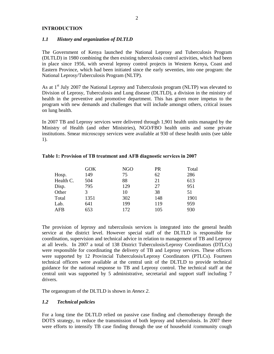#### **INTRODUCTION**

#### *1.1 History and organization of DLTLD*

The Government of Kenya launched the National Leprosy and Tuberculosis Program (DLTLD) in 1980 combining the then existing tuberculosis control activities, which had been in place since 1956, with several leprosy control projects in Western Kenya, Coast and Eastern Province, which had been initiated since the early seventies, into one program: the National Leprosy/Tuberculosis Program (NLTP).

As at 1<sup>st</sup> July 2007 the National Leprosy and Tuberculosis program (NLTP) was elevated to Division of Leprosy, Tuberculosis and Lung disease (DLTLD), a division in the ministry of health in the preventive and promotive department. This has given more impetus to the program with new demands and challenges that will include amongst others, critical issues on lung health.

In 2007 TB and Leprosy services were delivered through 1,901 health units managed by the Ministry of Health (and other Ministries), NGO/FBO health units and some private institutions. Smear microscopy services were available at 930 of these health units (see table 1).

|           | <b>GOK</b> | NGO | <b>PR</b> | Total |
|-----------|------------|-----|-----------|-------|
| Hosp.     | 149        | 75  | 62        | 286   |
| Health C. | 504        | 88  | 21        | 613   |
| Disp.     | 795        | 129 | 27        | 951   |
| Other     | 3          | 10  | 38        | 51    |
| Total     | 1351       | 302 | 148       | 1901  |
| Lab.      | 641        | 199 | 119       | 959   |
| AFB       | 653        | 172 | 105       | 930   |

#### **Table 1: Provision of TB treatment and AFB diagnostic services in 2007**

The provision of leprosy and tuberculosis services is integrated into the general health service at the district level. However special staff of the DLTLD is responsible for coordination, supervision and technical advice in relation to management of TB and Leprosy at all levels. In 2007 a total of 138 District Tuberculosis/Leprosy Coordinators (DTLCs) were responsible for coordinating the delivery of TB and Leprosy services. These officers were supported by 12 Provincial Tuberculosis/Leprosy Coordinators (PTLCs). Fourteen technical officers were available at the central unit of the DLTLD to provide technical guidance for the national response to TB and Leprosy control. The technical staff at the central unit was supported by 5 administrative, secretarial and support staff including 7 drivers.

The organogram of the DLTLD is shown in *Annex 2*.

#### *1.2 Technical policies*

For a long time the DLTLD relied on passive case finding and chemotherapy through the DOTS strategy, to reduce the transmission of both leprosy and tuberculosis. In 2007 there were efforts to intensify TB case finding through the use of household /community cough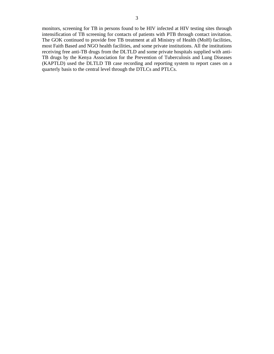monitors, screening for TB in persons found to be HIV infected at HIV testing sites through intensification of TB screening for contacts of patients with PTB through contact invitation. The GOK continued to provide free TB treatment at all Ministry of Health (MoH) facilities, most Faith Based and NGO health facilities, and some private institutions. All the institutions receiving free anti-TB drugs from the DLTLD and some private hospitals supplied with anti-TB drugs by the Kenya Association for the Prevention of Tuberculosis and Lung Diseases (KAPTLD) used the DLTLD TB case recording and reporting system to report cases on a quarterly basis to the central level through the DTLCs and PTLCs.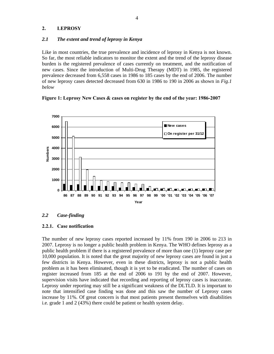#### **2. LEPROSY**

#### *2.1 The extent and trend of leprosy in Kenya*

Like in most countries, the true prevalence and incidence of leprosy in Kenya is not known. So far, the most reliable indicators to monitor the extent and the trend of the leprosy disease burden is the registered prevalence of cases currently on treatment, and the notification of new cases. Since the introduction of Multi-Drug Therapy (MDT) in 1985, the registered prevalence decreased from 6,558 cases in 1986 to 185 cases by the end of 2006. The number of new leprosy cases detected decreased from 630 in 1986 to 190 in 2006 as shown in *Fig.1 below*





#### *2.2 Case-finding*

#### **2.2.1. Case notification**

The number of new leprosy cases reported increased by 11% from 190 in 2006 to 213 in 2007. Leprosy is no longer a public health problem in Kenya. The WHO defines leprosy as a public health problem if there is a registered prevalence of more than one (1) leprosy case per 10,000 population. It is noted that the great majority of new leprosy cases are found in just a few districts in Kenya. However, even in these districts, leprosy is not a public health problem as it has been eliminated, though it is yet to be eradicated. The number of cases on register increased from 185 at the end of 2006 to 191 by the end of 2007. However, supervision visits have indicated that recording and reporting of leprosy cases is inaccurate. Leprosy under reporting may still be a significant weakness of the DLTLD. It is important to note that intensified case finding was done and this saw the number of Leprosy cases increase by 11%. Of great concern is that most patients present themselves with disabilities i.e. grade 1 and 2 (43%) there could be patient or health system delay.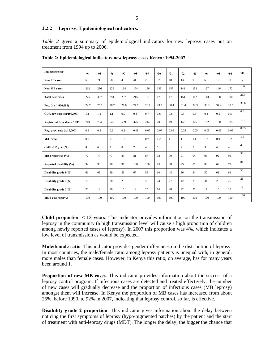#### **2.2.2 Leprosy: Epidemiological indicators.**

*Table 2* gives a summary of epidemiological indicators for new leprosy cases put on treatment from 1994 up to 2006.

| Indicators/year                    | <b>.94</b>     | <b>95</b> | .96            | <b>'97</b> | <b>.98</b>   | .99            | $60^\circ$ | 91   | 92             | $-03$ | 94   | 05             | 06             | 97             |
|------------------------------------|----------------|-----------|----------------|------------|--------------|----------------|------------|------|----------------|-------|------|----------------|----------------|----------------|
| <b>New PB cases</b>                | 63             | 71        | 68             | 43         | 41           | 25             | 37         | 18   | 13             | 9     | 6    | 12             | 18             | 17             |
| <b>New MB cases</b>                | 212            | 236       | 226            | 194        | 174          | 166            | 133        | 157  | 141            | 153   | 137  | 146            | 172            | 196            |
| <b>Total new cases</b>             | 275            | 307       | 294            | 237        | 215          | 191            | 170        | 175  | 154            | 162   | 143  | 158            | 190            | 213            |
| Pop. $(n \times 1,000,000)$        | 24.7           | 25.5      | 26.2           | 27.0       | 27.7         | 28.7           | 29.5       | 30.4 | 31.4           | 32.3  | 33.3 | 34.4           | 35.5           | 36.6           |
| CDR new cases $(n/100,000)$        | 1.1            | 1.2       | 1.1            | 0.9        | 0.8          | 0.7            | 0.6        | 0.6  | 0.5            | 0.5   | 0.4  | 0.5            | 0.5            | 0.6            |
| <b>Registered Prevalence 31/12</b> | 740            | 754       | 640            | 589        | 375          | 214            | 209        | 195  | 148            | 176   | 182  | 180            | 185            | 191            |
| Reg. prev. rate (n/10,000)         | 0.3            | 0.3       | 0.2            | 0.2        | 0.08         | 0.07           | 0.07       | 0.06 | 0.05           | 0.05  | 0.05 | 0.05           | 0.05           | 0.05           |
| M/F ratio                          | 0.9            | 1         | 0.9            | 1.2        | $\mathbf{1}$ | 0.7            | 1.2        | 1    | $\mathbf{1}$   | 1.1   | 1.3  | 0.9            | 1.2            | 1.4            |
| Child < 15 yrs. $(\%$              | $\overline{4}$ | 6         | $\overline{7}$ | 8          | $\tau$       | $\overline{4}$ | 5          | 3    | $\overline{2}$ | 5     | 3    | $\overline{4}$ | $\overline{4}$ | $\overline{4}$ |
| $MB$ proportion $(\% )$            | 77             | 77        | 77             | 83         | 81           | 87             | 78         | 90   | 91             | 94    | 96   | 92             | 91             | 92             |
| Reported disability (%)            | 94             | 98        | 98             | 97         | 100          | 100            | 95         | 88   | 93             | 87    | 88   | 69             | 78             | 81             |
| Disability grade $0\frac{6}{6}$    | 61             | 63        | 59             | 59         | 67           | 55             | 60         | 45   | 36             | 34    | 50   | 61             | 64             | 56             |
| Disability grade 1(%)              | 18             | 18        | 20             | 23         | 15           | 20             | 24         | 27   | 42             | 39    | 34   | 25             | 26             | 26             |
| Disability grade 2(%)              | 20             | 19        | 20             | 16         | 19           | 25             | 16         | 28   | 22             | 27    | 17   | 15             | 10             | 17             |
| <b>MDT</b> coverage( $\%$ )        | 100            | 100       | 100            | 100        | 100          | 100            | 100        | 100  | 100            | 100   | 100  | 100            | 100            | 100            |

**Table 2: Epidemiological indicators new leprosy cases Kenya: 1994-2007** 

**Child proportion < 15 years**. This indicator provides information on the transmission of leprosy in the community (a high transmission level will cause a high proportion of children among newly reported cases of leprosy). In 2007 this proportion was 4%, which indicates a low level of transmission as would be expected.

**Male/female ratio**. This indicator provides gender differences on the distribution of leprosy. In most countries, the male/female ratio among leprosy patients is unequal with, in general, more males than female cases. However, in Kenya this ratio, on average, has for many years been around 1.

**Proportion of new MB cases**. This indicator provides information about the success of a leprosy control program. If infectious cases are detected and treated effectively, the number of new cases will gradually decrease and the proportion of infectious cases (MB leprosy) amongst them will increase. In Kenya the proportion of MB cases has increased from about 25%, before 1990, to 92% in 2007, indicating that leprosy control, so far, is effective.

**Disability grade 2 proportion**. This indicator gives information about the delay between noticing the first symptoms of leprosy (hypo-pigmented patches) by the patient and the start of treatment with anti-leprosy drugs (MDT). The longer the delay, the bigger the chance that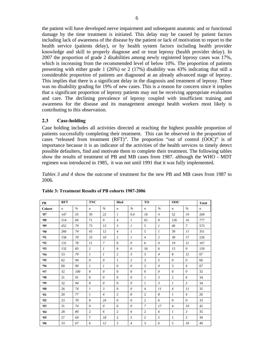the patient will have developed nerve impairment and subsequent anatomic and or functional damage by the time treatment is initiated. This delay may be caused by patient factors including lack of awareness of the disease by the patient or lack of motivation to report to the health service (patients delay), or by health system factors including health provider knowledge and skill to properly diagnose and or treat leprosy (health provider delay). In 2007 the proportion of grade 2 disabilities among newly registered leprosy cases was 17%, which is increasing from the recommended level of below 10%. The proportion of patients presenting with either grade 1 (26%) or 2 (17%) disability was 43% indicating that still a considerable proportion of patients are diagnosed at an already advanced stage of leprosy. This implies that there is a significant delay in the diagnosis and treatment of leprosy. There was no disability grading for 19% of new cases. This is a reason for concern since it implies that a significant proportion of leprosy patients may not be receiving appropriate evaluation and care. The declining prevalence of leprosy coupled with insufficient training and awareness for the disease and its management amongst health workers most likely is contributing to this observation.

#### **2.3 Case-holding**

Case holding includes all activities directed at reaching the highest possible proportion of patients successfully completing their treatment. This can be observed in the proportion of cases "released from treatment (RFT)". The proportion "out of control (OOC)" is of importance because it is an indicator of the activities of the health services to timely detect possible defaulters, find and motivate them to complete their treatment. The following tables show the results of treatment of PB and MB cases from 1987. although the WHO - MDT regimen was introduced in 1985, it was not until 1991 that it was fully implemented.

*Tables 3 and 4* show the outcome of treatment for the new PB and MB cases from 1987 to 2006.

| PB           | <b>RFT</b>  |               | <b>TNC</b>     |                | <b>Died</b>    |                |                | TO             |                | 00C            |             |
|--------------|-------------|---------------|----------------|----------------|----------------|----------------|----------------|----------------|----------------|----------------|-------------|
| Cohort       | $\mathbf n$ | $\frac{0}{6}$ | $\mathbf n$    | $\frac{0}{6}$  | $\mathbf n$    | $\frac{0}{6}$  | $\mathbf n$    | $\frac{9}{6}$  | $\mathbf n$    | $\frac{0}{6}$  | $\mathbf n$ |
| 87           | 147         | 55            | 59             | 22             | $\mathbf{1}$   | 0.4            | 10             | $\overline{4}$ | 52             | 19             | 269         |
| $88^\circ$   | 514         | 66            | 71             | 9              | $\overline{4}$ | $\mathfrak{1}$ | 62             | 8              | 126            | 16             | 777         |
| <b>89</b>    | 452         | 79            | 73             | 13             | 3              | $\mathcal{I}$  | 5              | $\mathcal{I}$  | 40             | $\mathcal{I}$  | 573         |
| $90^{\circ}$ | 260         | 74            | 43             | 12             | $\overline{4}$ | $\mathfrak{1}$ | 5              | $\mathfrak{1}$ | 39             | 11             | 351         |
| 91           | 158         | 70            | 23             | 10             | $\overline{2}$ | $\mathcal{I}$  | $\overline{4}$ | 2              | 39             | 17             | 226         |
| $-92$        | 131         | 78            | 11             | $\overline{7}$ | $\Omega$       | $\theta$       | 6              | $\overline{4}$ | 19             | 11             | 167         |
| $-93$        | 132         | 83            | $\overline{2}$ | $\mathcal{I}$  | $\theta$       | $\theta$       | 10             | 6              | 15             | 9              | 159         |
| .94          | 53          | 79            | 1              | $\overline{I}$ | $\overline{2}$ | $\mathfrak{Z}$ | 3              | $\overline{4}$ | 8              | 12             | 67          |
| 95           | 62          | 94            | $\Omega$       | $\theta$       | $\mathbf{1}$   | $\overline{c}$ | 3              | $\mathfrak{F}$ | $\Omega$       | $\theta$       | 66          |
| .96          | 60          | 90            | $\mathbf{1}$   | $\mathcal{I}$  | $\Omega$       | $\theta$       | $\overline{3}$ | $\overline{4}$ | 3              | $\overline{4}$ | 67          |
| <b>.97</b>   | 32          | 100           | $\mathbf{0}$   | $\theta$       | $\theta$       | $\theta$       | $\overline{0}$ | $\theta$       | $\overline{0}$ | $\theta$       | 32          |
| 98           | 31          | 91            | $\Omega$       | $\theta$       | $\Omega$       | $\theta$       | $\mathbf{1}$   | $\mathcal{E}$  | $\overline{c}$ | 6              | 34          |
| .99          | 32          | 94            | $\Omega$       | $\theta$       | $\Omega$       | $\theta$       | $\mathbf{1}$   | $\mathfrak{Z}$ | $\mathbf{1}$   | $\mathfrak{Z}$ | 34          |
| $00^{\circ}$ | 26          | 74            | $\mathbf{1}$   | $\mathcal{E}$  | $\theta$       | $\theta$       | $\overline{4}$ | 11             | $\overline{4}$ | 11             | 35          |
| 61           | 20          | 77            | $\mathbf{1}$   | $\overline{4}$ | $\overline{2}$ | 8              | $\overline{c}$ | 8              | $\mathbf{1}$   | $\overline{4}$ | 26          |
| 92           | 23          | 70            | 8              | 24             | $\mathbf{0}$   | $\theta$       | $\overline{2}$ | 6              | $\theta$       | $\theta$       | 33          |
| $\cdot$ 03   | 31          | 74            | $\mathbf{0}$   | $\theta$       | $\theta$       | $\theta$       | $\overline{7}$ | 17             | $\overline{4}$ | 10             | 42          |
| 64           | 28          | 80            | $\overline{2}$ | 6              | $\overline{2}$ | 6              | $\overline{c}$ | 6              | $\mathbf{1}$   | $\mathfrak{Z}$ | 35          |
| 05           | 27          | 69            | $\overline{7}$ | 18             | $\overline{c}$ | 5              | $\overline{2}$ | 5              | 1              | $\mathfrak{Z}$ | 39          |
| 06           | 33          | 67            | 6              | 12             | $\overline{2}$ | $\overline{4}$ | $\overline{3}$ | 6              | 5              | 10             | 49          |

#### **Table 3: Treatment Results of PB cohorts 1987-2006**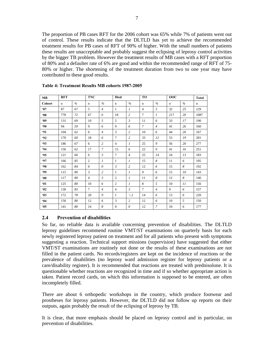The proportion of PB cases RFT for the 2006 cohort was 65% while 7% of patients went out of control. These results indicate that the DLTLD has yet to achieve the recommended treatment results for PB cases of RFT of 90% of higher. With the small numbers of patients these results are unacceptable and probably suggest the eclipsing of leprosy control activities by the bigger TB problem. However the treatment results of MB cases with a RFT proportion of 80% and a defaulter rate of 6% are good and within the recommended range of RFT of 75- 80% or higher. The shortening of the treatment duration from two to one year may have contributed to these good results.

| <b>MB</b>    | <b>RFT</b> |               | <b>TNC</b>     |                | <b>Died</b>    |                | <b>TO</b>      |                | 00C         |               | <b>Total</b> |
|--------------|------------|---------------|----------------|----------------|----------------|----------------|----------------|----------------|-------------|---------------|--------------|
| Cohort       | n          | $\frac{0}{6}$ | n              | $\frac{0}{6}$  | $\mathbf n$    | $\frac{0}{6}$  | $\mathbf n$    | $\frac{0}{6}$  | $\mathbf n$ | $\frac{0}{6}$ | $\mathbf n$  |
| 87           | 87         | 67            | 5              | $\overline{4}$ | $\mathbf{1}$   | $\mathfrak{1}$ | $\overline{4}$ | $\mathfrak{Z}$ | 32          | 25            | 129          |
| $88^{\circ}$ | 778        | 72            | 67             | 6              | 18             | $\overline{c}$ | $\tau$         | $\mathfrak{1}$ | 217         | 20            | 1087         |
| <b>89</b>    | 131        | 69            | 10             | $\overline{5}$ | 5              | $\mathfrak{Z}$ | 11             | 6              | 33          | 17            | 190          |
| $90^{\circ}$ | 94         | 59            | 9              | 6              | 9              | 6              | $\overline{7}$ | $\overline{4}$ | 41          | 26            | 160          |
| 91           | 104        | 62            | 6              | $\overline{4}$ | 3              | $\overline{c}$ | 10             | 6              | 44          | 26            | 167          |
| $-92$        | 170        | 60            | 18             | 6              | $\overline{7}$ | $\overline{c}$ | 33             | 12             | 53          | 19            | 281          |
| <b>'93</b>   | 186        | 67            | 6              | $\overline{c}$ | $\overline{4}$ | $\mathcal{I}$  | 25             | 9              | 56          | 20            | 277          |
| <b>.94</b>   | 156        | 62            | 17             | $\overline{7}$ | 15             | 6              | 22             | 9              | 41          | 16            | 251          |
| <b>'95</b>   | 121        | 66            | 6              | $\mathcal{E}$  | $\tau$         | $\overline{4}$ | 25             | 14             | 24          | 13            | 183          |
| <b>'97</b>   | 166        | 85            | $\overline{c}$ | $\mathfrak{1}$ | 1              | $\mathcal{I}$  | 15             | 8              | 11          | 6             | 195          |
| <b>.98</b>   | 162        | 84            | $\overline{0}$ | $\theta$       | 3              | $\overline{c}$ | 12             | 6              | 15          | 8             | 192          |
| <b>.99</b>   | 115        | 80            | 3              | $\overline{c}$ | 1              | $\mathcal{I}$  | 9              | 6              | 15          | 10            | 143          |
| $00^{\circ}$ | 117        | 80            | $\overline{4}$ | $\mathfrak{Z}$ | $\overline{c}$ | $\mathcal{I}$  | 11             | 8              | 12          | 8             | 146          |
| 61           | 125        | 80            | 10             | 6              | $\overline{c}$ | $\mathcal{I}$  | 8              | 5              | 10          | 11            | 156          |
| •02          | 130        | 83            | $\tau$         | $\overline{4}$ | $\overline{4}$ | $\mathfrak{Z}$ | $\tau$         | $\overline{4}$ | 9           | 6             | 157          |
| $-03$        | 172        | 78            | 20             | 9              | 1              | $\lt, I$       | 14             | 6              | 13          | 6             | 220          |
| 64           | 150        | 80            | 12             | 6              | 3              | $\overline{c}$ | 12             | 6              | 10          | 5             | 150          |
| 05           | 141        | 80            | 14             | 8              | $\mathbf{0}$   | 0              | 12             | $\overline{7}$ | 10          | 6             | 177          |

#### **Table 4: Treatment Results MB cohorts 1987-2005**

#### **2.4 Prevention of disabilities**

So far, no reliable data is available concerning prevention of disabilities. The DLTLD leprosy guidelines recommend routine VMT/ST examinations on quarterly basis for each newly registered leprosy patient on treatment and for all patients who present with symptoms suggesting a reaction. Technical support missions (supervision) have suggested that either VMT/ST examinations are routinely not done or the results of these examinations are not filled in the patient cards. No records/registers are kept on the incidence of reactions or the prevalence of disabilities (no leprosy ward admission register for leprosy patients or a care/disability register). It is recommended that reactions are treated with prednisolone. It is questionable whether reactions are recognized in time and if so whether appropriate action is taken. Patient record cards, on which this information is supposed to be entered, are often incompletely filled.

There are about 6 orthopedic workshops in the country, which produce footwear and prostheses for leprosy patients. However, the DLTLD did not follow up reports on their outputs, again probably the result of the eclipsing of leprosy by TB.

It is clear, that more emphasis should be placed on leprosy control and in particular, on prevention of disabilities.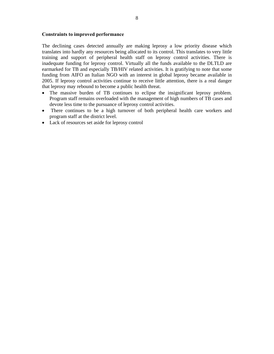#### **Constraints to improved performance**

The declining cases detected annually are making leprosy a low priority disease which translates into hardly any resources being allocated to its control. This translates to very little training and support of peripheral health staff on leprosy control activities. There is inadequate funding for leprosy control. Virtually all the funds available to the DLTLD are earmarked for TB and especially TB/HIV related activities. It is gratifying to note that some funding from AIFO an Italian NGO with an interest in global leprosy became available in 2005. If leprosy control activities continue to receive little attention, there is a real danger that leprosy may rebound to become a public health threat.

- The massive burden of TB continues to eclipse the insignificant leprosy problem. Program staff remains overloaded with the management of high numbers of TB cases and devote less time to the pursuance of leprosy control activities.
- There continues to be a high turnover of both peripheral health care workers and program staff at the district level.
- Lack of resources set aside for leprosy control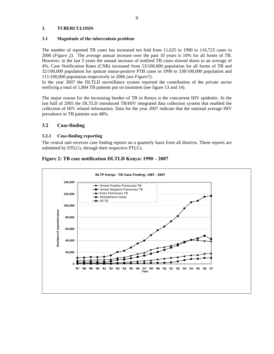#### **3. TUBERCULOSIS**

#### **3.1 Magnitude of the tuberculosis problem**

The number of reported TB cases has increased ten fold from 11,625 in 1990 to 116,723 cases in 2006 *(Figure 2).* The average annual increase over the past 10 years is 10% for all forms of TB. However, in the last 5 years the annual increase of notified TB cases slowed down to an average of 4%. Case Notification Rates (CNR) increased from 53/100,000 population for all forms of TB and 32/100,000 population for sputum smear-positive PTB cases in 1990 to 338/100,000 population and 111/100,000 population respectively in 2006 *(see Figure7)*.

In the year 2007 the DLTLD surveillance system reported the contribution of the private sector notifying a total of 1,804 TB patients put on treatment (see figure 13 and 14).

The major reason for the increasing burden of TB in Kenya is the concurrent HIV epidemic. In the last half of 2005 the DLTLD introduced TB/HIV integrated data collection system that enabled the collection of HIV related information. Data for the year 2007 indicate that the national average HIV prevalence in TB patients was 48%.

#### **3.2 Case-finding**

#### **3.2.1 Case-finding reporting**

The central unit receives case finding reports on a quarterly basis from all districts. These reports are submitted by DTLCs, through their respective PTLCs.



#### **Figure 2: TB case notification DLTLD Kenya: 1990 – 2007**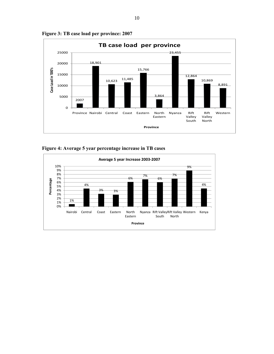

**Figure 3: TB case load per province: 2007** 

**Figure 4: Average 5 year percentage increase in TB cases** 

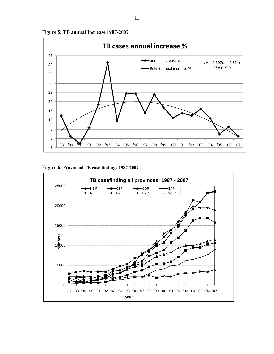

**Figure 5: TB annual Increase 1987-2007**

**Figure 6: Provincial TB case findings 1987-2007** 

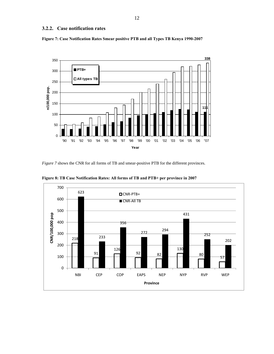#### **3.2.2. Case notification rates**





*Figure 7* shows the CNR for all forms of TB and smear-positive PTB for the different provinces.



**Figure 8: TB Case Notification Rates: All forms of TB and PTB+ per province in 2007**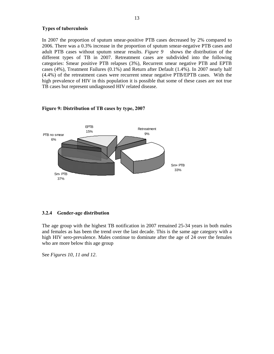#### **Types of tuberculosis**

In 2007 the proportion of sputum smear-positive PTB cases decreased by 2% compared to 2006. There was a 0.3% increase in the proportion of sputum smear-negative PTB cases and adult PTB cases without sputum smear results. *Figure 9* shows the distribution of the different types of TB in 2007. Retreatment cases are subdivided into the following categories: Smear positive PTB relapses (3%), Recurrent smear negative PTB and EPTB cases (4%), Treatment Failures (0.1%) and Return after Default (1.4%). In 2007 nearly half (4.4%) of the retreatment cases were recurrent smear negative PTB/EPTB cases. With the high prevalence of HIV in this population it is possible that some of these cases are not true TB cases but represent undiagnosed HIV related disease.

## **Retreatment** PTB no smear  $^{13\%}$ 6% Sm- PTB 37% EPTB 15% Sm+ PTB 33%

#### **Figure 9: Distribution of TB cases by type, 2007**

#### **3.2.4 Gender-age distribution**

The age group with the highest TB notification in 2007 remained 25-34 years in both males and females as has been the trend over the last decade. This is the same age category with a high HIV sero-prevalence. Males continue to dominate after the age of 24 over the females who are more below this age group

See *Figures 10, 11 and 12*.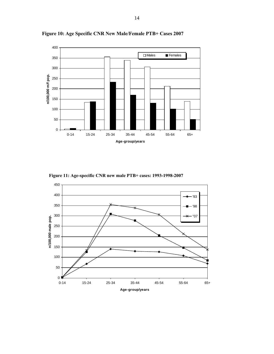

**Figure 10: Age Specific CNR New Male/Female PTB+ Cases 2007** 

 **Figure 11: Age-specific CNR new male PTB+ cases: 1993-1998-2007** 

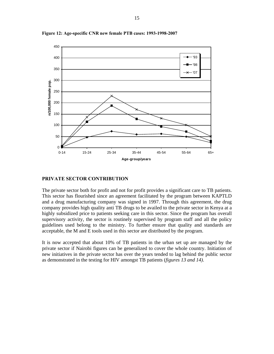

**Figure 12: Age-specific CNR new female PTB cases: 1993-1998-2007** 

#### **PRIVATE SECTOR CONTRIBUTION**

The private sector both for profit and not for profit provides a significant care to TB patients. This sector has flourished since an agreement facilitated by the program between KAPTLD and a drug manufacturing company was signed in 1997. Through this agreement, the drug company provides high quality anti TB drugs to be availed to the private sector in Kenya at a highly subsidized price to patients seeking care in this sector. Since the program has overall supervisory activity, the sector is routinely supervised by program staff and all the policy guidelines used belong to the ministry. To further ensure that quality and standards are acceptable, the M and E tools used in this sector are distributed by the program.

It is now accepted that about 10% of TB patients in the urban set up are managed by the private sector if Nairobi figures can be generalized to cover the whole country. Initiation of new initiatives in the private sector has over the years tended to lag behind the public sector as demonstrated in the testing for HIV amongst TB patients (*figures 13 and 14)*.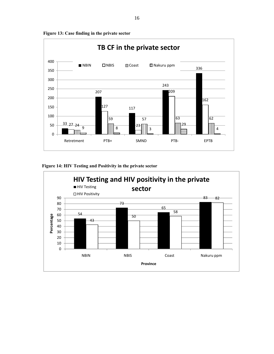

**Figure 13: Case finding in the private sector**



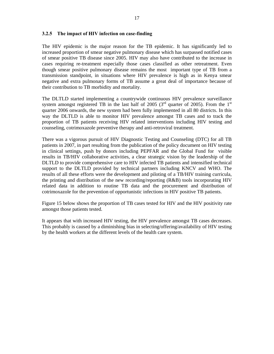#### **3.2.5 The impact of HIV infection on case-finding**

The HIV epidemic is the major reason for the TB epidemic. It has significantly led to increased proportion of smear negative pulmonary disease which has surpassed notified cases of smear positive TB disease since 2005. HIV may also have contributed to the increase in cases requiring re-treatment especially those cases classified as other retreatment. Even though smear positive pulmonary disease remains the most important type of TB from a transmission standpoint, in situations where HIV prevalence is high as in Kenya smear negative and extra pulmonary forms of TB assume a great deal of importance because of their contribution to TB morbidity and mortality.

The DLTLD started implementing a countrywide continuous HIV prevalence surveillance system amongst registered TB in the last half of 2005 ( $3<sup>rd</sup>$  quarter of 2005). From the 1<sup>st</sup> quarter 2006 onwards, the new system had been fully implemented in all 80 districts. In this way the DLTLD is able to monitor HIV prevalence amongst TB cases and to track the proportion of TB patients receiving HIV related interventions including HIV testing and counseling, cotrimoxazole preventive therapy and anti-retroviral treatment.

There was a vigorous pursuit of HIV Diagnostic Testing and Counseling (DTC) for all TB patients in 2007, in part resulting from the publication of the policy document on HIV testing in clinical settings, push by donors including PEPFAR and the Global Fund for visible results in TB/HIV collaborative activities, a clear strategic vision by the leadership of the DLTLD to provide comprehensive care to HIV infected TB patients and intensified technical support to the DLTLD provided by technical partners including KNCV and WHO. The results of all these efforts were the development and piloting of a TB/HIV training curricula, the printing and distribution of the new recording/reporting (R&B) tools incorporating HIV related data in addition to routine TB data and the procurement and distribution of cotrimoxazole for the prevention of opportunistic infections in HIV positive TB patients.

Figure 15 below shows the proportion of TB cases tested for HIV and the HIV positivity rate amongst those patients tested*.* 

It appears that with increased HIV testing, the HIV prevalence amongst TB cases decreases. This probably is caused by a diminishing bias in selecting/offering/availability of HIV testing by the health workers at the different levels of the health care system.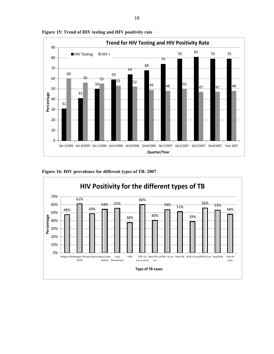



#### **Figure 16: HIV prevalence for different types of TB: 2007**

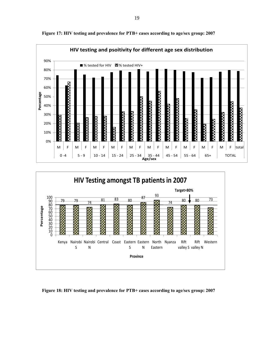

**Figure 17: HIV testing and prevalence for PTB+ cases according to age/sex group: 2007** 



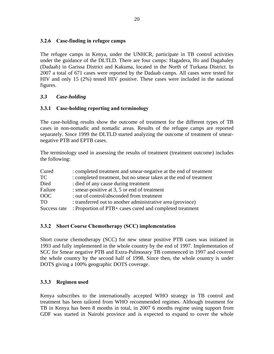## **3.2.6 Case-finding in refugee camps**

The refugee camps in Kenya, under the UNHCR, participate in TB control activities under the guidance of the DLTLD. There are four camps: Hagadera, Ifo and Dagahaley (Dadaab) in Garissa District and Kakuma, located in the North of Turkana District. In 2007 a total of 671 cases were reported by the Dadaab camps. All cases were tested for HIV and only 15 (2%) tested HIV positive. These cases were included in the national figures.

## *3.3 Case-holding*

## **3.3.1 Case-holding reporting and terminology**

The case-holding results show the outcome of treatment for the different types of TB cases in non-nomadic and nomadic areas. Results of the refugee camps are reported separately. Since 1999 the DLTLD started analyzing the outcome of treatment of smearnegative PTB and EPTB cases.

The terminology used in assessing the results of treatment (treatment outcome) includes the following:

| Cured           | : completed treatment and smear-negative at the end of treatment  |
|-----------------|-------------------------------------------------------------------|
| <b>TC</b>       | : completed treatment, but no smear taken at the end of treatment |
| Died            | : died of any cause during treatment                              |
| Failure         | : smear-positive at 3, 5 or end of treatment                      |
| <b>OOC</b>      | : out of control/absconded from treatment                         |
| TO <sub>1</sub> | : transferred out to another administrative area (province)       |
| Success rate    | : Proportion of PTB+ cases cured and completed treatment          |

## **3.3.2 Short Course Chemotherapy (SCC) implementation**

Short course chemotherapy (SCC) for new smear positive PTB cases was initiated in 1993 and fully implemented in the whole country by the end of 1997. Implementation of SCC for Smear negative PTB and Extra-Pulmonary TB commenced in 1997 and covered the whole country by the second half of 1998. Since then, the whole country is under DOTS giving a 100% geographic DOTS coverage.

## **3.3.3 Regimen used**

Kenya subscribes to the internationally accepted WHO strategy in TB control and treatment has been tailored from WHO recommended regimes. Although treatment for TB in Kenya has been 8 months in total, in 2007 6 months regime using support from GDF was started in Nairobi province and is expected to expand to cover the whole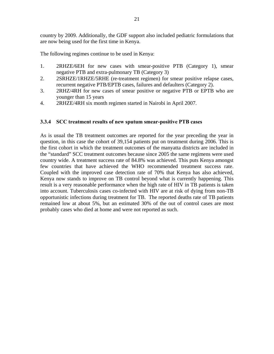country by 2009. Additionally, the GDF support also included pediatric formulations that are now being used for the first time in Kenya.

The following regimes continue to be used in Kenya:

- 1. 2RHZE/6EH for new cases with smear-positive PTB (Category 1), smear negative PTB and extra-pulmonary TB (Category 3)
- 2. 2SRHZE/1RHZE/5RHE (re-treatment regimen) for smear positive relapse cases, recurrent negative PTB/EPTB cases, failures and defaulters (Category 2).
- 3. 2RHZ/4RH for new cases of smear positive or negative PTB or EPTB who are younger than 15 years
- 4. 2RHZE/4RH six month regimen started in Nairobi in April 2007.

#### **3.3.4 SCC treatment results of new sputum smear-positive PTB cases**

As is usual the TB treatment outcomes are reported for the year preceding the year in question, in this case the cohort of 39,154 patients put on treatment during 2006. This is the first cohort in which the treatment outcomes of the manyatta districts are included in the "standard" SCC treatment outcomes because since 2005 the same regimens were used country wide. A treatment success rate of 84.8% was achieved. This puts Kenya amongst few countries that have achieved the WHO recommended treatment success rate. Coupled with the improved case detection rate of 70% that Kenya has also achieved, Kenya now stands to improve on TB control beyond what is currently happening. This result is a very reasonable performance when the high rate of HIV in TB patients is taken into account. Tuberculosis cases co-infected with HIV are at risk of dying from non-TB opportunistic infections during treatment for TB. The reported deaths rate of TB patients remained low at about 5%, but an estimated 30% of the out of control cases are most probably cases who died at home and were not reported as such.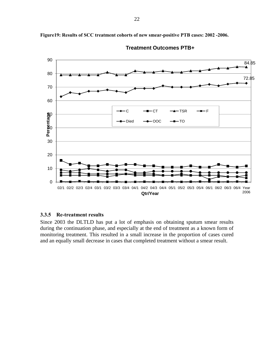

**Figure19: Results of SCC treatment cohorts of new smear-positive PTB cases: 2002 -2006.**



#### **3.3.5 Re-treatment results**

Since 2003 the DLTLD has put a lot of emphasis on obtaining sputum smear results during the continuation phase, and especially at the end of treatment as a known form of monitoring treatment. This resulted in a small increase in the proportion of cases cured and an equally small decrease in cases that completed treatment without a smear result.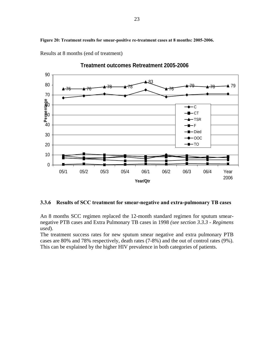**Figure 20: Treatment results for smear-positive re-treatment cases at 8 months: 2005-2006.** 



Results at 8 months (end of treatment)

**Treatment outcomes Retreatment 2005-2006** 

#### **3.3.6 Results of SCC treatment for smear-negative and extra-pulmonary TB cases**

An 8 months SCC regimen replaced the 12-month standard regimen for sputum smearnegative PTB cases and Extra Pulmonary TB cases in 1998 *(see section 3.3.3 - Regimens used*).

The treatment success rates for new sputum smear negative and extra pulmonary PTB cases are 80% and 78% respectively, death rates (7-8%) and the out of control rates (9%). This can be explained by the higher HIV prevalence in both categories of patients.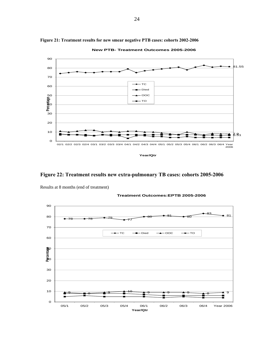

**Figure 21: Treatment results for new smear negative PTB cases: cohorts 2002-2006**

**New PTB- Treatment Outcomes 2005-2006**

**Figure 22: Treatment results new extra-pulmonary TB cases: cohorts 2005-2006** 



Results at 8 months (end of treatment)

**Treatment Outcomes:EPTB 2005-2006**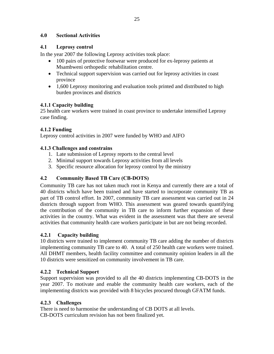## **4.0 Sectional Activities**

## **4.1 Leprosy control**

In the year 2007 the following Leprosy activities took place:

- 100 pairs of protective footwear were produced for ex-leprosy patients at Msambweni orthopedic rehabilitation centre.
- Technical support supervision was carried out for leprosy activities in coast province
- 1,600 Leprosy monitoring and evaluation tools printed and distributed to high burden provinces and districts

## **4.1.1 Capacity building**

25 health care workers were trained in coast province to undertake intensified Leprosy case finding.

## **4.1.2 Funding**

Leprosy control activities in 2007 were funded by WHO and AIFO

## **4.1.3 Challenges and constrains**

- 1. Late submission of Leprosy reports to the central level
- 2. Minimal support towards Leprosy activities from all levels
- 3. Specific resource allocation for leprosy control by the ministry

## **4.2 Community Based TB Care (CB-DOTS)**

Community TB care has not taken much root in Kenya and currently there are a total of 40 districts which have been trained and have started to incorporate community TB as part of TB control effort. In 2007, community TB care assessment was carried out in 24 districts through support from WHO. This assessment was geared towards quantifying the contribution of the community in TB care to inform further expansion of these activities in the country. What was evident in the assessment was that there are several activities that community health care workers participate in but are not being recorded.

## **4.2.1 Capacity building**

10 districts were trained to implement community TB care adding the number of districts implementing community TB care to 40. A total of 250 health care workers were trained. All DHMT members, health facility committee and community opinion leaders in all the 10 districts were sensitized on community involvement in TB care.

## **4.2.2 Technical Support**

Support supervision was provided to all the 40 districts implementing CB-DOTS in the year 2007. To motivate and enable the community health care workers, each of the implementing districts was provided with 8 bicycles procured through GFATM funds.

## **4.2.3 Challenges**

There is need to harmonise the understanding of CB DOTS at all levels. CB-DOTS curriculum revision has not been finalized yet.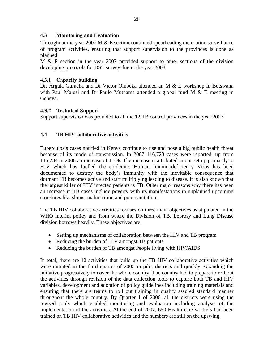## **4.3 Monitoring and Evaluation**

Throughout the year 2007 M  $&$  E section continued spearheading the routine surveillance of program activities, ensuring that support supervision to the provinces is done as planned.

M & E section in the year 2007 provided support to other sections of the division developing protocols for DST survey due in the year 2008.

## **4.3.1 Capacity building**

Dr. Argata Guracha and Dr Victor Ombeka attended an M & E workshop in Botswana with Paul Malusi and Dr Paulo Muthama attended a global fund M & E meeting in Geneva.

## **4.3.2 Technical Support**

Support supervision was provided to all the 12 TB control provinces in the year 2007.

## **4.4 TB HIV collaborative activities**

Tuberculosis cases notified in Kenya continue to rise and pose a big public health threat because of its mode of transmission. In 2007 116,723 cases were reported, up from 115,234 in 2006 an increase of 1.3%. The increase is attributed in our set up primarily to HIV which has fuelled the epidemic. Human Immunodeficiency Virus has been documented to destroy the body's immunity with the inevitable consequence that dormant TB becomes active and start multiplying leading to disease. It is also known that the largest killer of HIV infected patients is TB. Other major reasons why there has been an increase in TB cases include poverty with its manifestations in unplanned upcoming structures like slums, malnutrition and poor sanitation.

The TB HIV collaborative activities focuses on three main objectives as stipulated in the WHO interim policy and from where the Division of TB, Leprosy and Lung Disease division borrows heavily. These objectives are:

- Setting up mechanisms of collaboration between the HIV and TB program
- Reducing the burden of HIV amongst TB patients
- Reducing the burden of TB amongst People living with HIV/AIDS

In total, there are 12 activities that build up the TB HIV collaborative activities which were initiated in the third quarter of 2005 in pilot districts and quickly expanding the initiative progressively to cover the whole country. The country had to prepare to roll out the activities through revision of the data collection tools to capture both TB and HIV variables, development and adoption of policy guidelines including training materials and ensuring that there are teams to roll out training in quality assured standard manner throughout the whole country. By Quarter 1 of 2006, all the districts were using the revised tools which enabled monitoring and evaluation including analysis of the implementation of the activities. At the end of 2007, 650 Health care workers had been trained on TB HIV collaborative activities and the numbers are still on the upswing.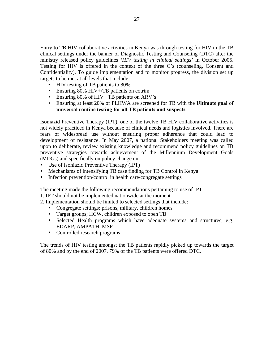Entry to TB HIV collaborative activities in Kenya was through testing for HIV in the TB clinical settings under the banner of Diagnostic Testing and Counseling (DTC) after the ministry released policy guidelines *'HIV testing in clinical settings'* in October 2005. Testing for HIV is offered in the context of the three C's (counseling, Consent and Confidentiality). To guide implementation and to monitor progress, the division set up targets to be met at all levels that include:

- HIV testing of TB patients to 80%
- Ensuring 80% HIV+/TB patients on cotrim
- Ensuring 80% of HIV+ TB patients on ARV's
- Ensuring at least 20% of PLHWA are screened for TB with the **Ultimate goal of universal routine testing for all TB patients and suspects**

Isoniazid Preventive Therapy (IPT), one of the twelve TB HIV collaborative activities is not widely practiced in Kenya because of clinical needs and logistics involved. There are fears of widespread use without ensuring proper adherence that could lead to development of resistance. In May 2007, a national Stakeholders meeting was called upon to deliberate, review existing knowledge and recommend policy guidelines on TB preventive strategies towards achievement of the Millennium Development Goals (MDGs) and specifically on policy change on:

- Use of Isoniazid Preventive Therapy (IPT)
- Mechanisms of intensifying TB case finding for TB Control in Kenya
- Infection prevention/control in health care/congregate settings

The meeting made the following recommendations pertaining to use of IPT:

- 1. IPT should not be implemented nationwide at the moment
- 2. Implementation should be limited to selected settings that include:
	- Congregate settings; prisons, military, children homes
	- Target groups; HCW, children exposed to open TB
	- Selected Health programs which have adequate systems and structures; e.g. EDARP, AMPATH, MSF
	- Controlled research programs

The trends of HIV testing amongst the TB patients rapidly picked up towards the target of 80% and by the end of 2007, 79% of the TB patients were offered DTC.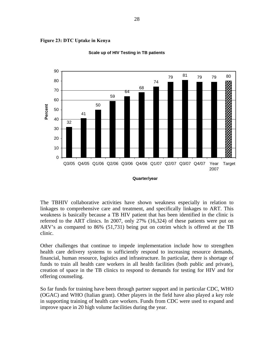![](_page_37_Figure_0.jpeg)

![](_page_37_Figure_1.jpeg)

![](_page_37_Figure_2.jpeg)

![](_page_37_Figure_3.jpeg)

The TBHIV collaborative activities have shown weakness especially in relation to linkages to comprehensive care and treatment, and specifically linkages to ART. This weakness is basically because a TB HIV patient that has been identified in the clinic is referred to the ART clinics. In 2007, only 27% (16,324) of these patients were put on ARV's as compared to 86% (51,731) being put on cotrim which is offered at the TB clinic.

Other challenges that continue to impede implementation include how to strengthen health care delivery systems to sufficiently respond to increasing resource demands, financial, human resource, logistics and infrastructure. In particular, there is shortage of funds to train all health care workers in all health facilities (both public and private), creation of space in the TB clinics to respond to demands for testing for HIV and for offering counseling.

So far funds for training have been through partner support and in particular CDC, WHO (OGAC) and WHO (Italian grant). Other players in the field have also played a key role in supporting training of health care workers. Funds from CDC were used to expand and improve space in 20 high volume facilities during the year.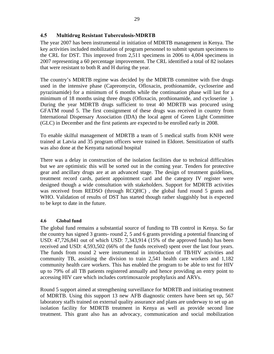## **4.5 Multidrug Resistant Tuberculosis-MDRTB**

The year 2007 has been instrumental in initiation of MDRTB management in Kenya. The key activities included mobilization of program personnel to submit sputum specimens to the CRL for DST. This improved from 2,511 specimens in 2006 to 4,004 specimens in 2007 representing a 60 percentage improvement. The CRL identified a total of 82 isolates that were resistant to both R and H during the year.

The country's MDRTB regime was decided by the MDRTB committee with five drugs used in the intensive phase (Capreomycin, Ofloxacin, prothionamide, cycloserine and pyrazinamide) for a minimum of 6 months while the continuation phase will last for a minimum of 18 months using three drugs (Ofloxacin, prothionamide, and cycloserine ). During the year MDRTB drugs sufficient to treat 40 MDRTB was procured using GFATM round 5. The first consignment of these drugs was received in country from International Dispensary Association (IDA) the local agent of Green Light Committee (GLC) in December and the first patients are expected to be enrolled early in 2008.

To enable skilful management of MDRTB a team of 5 medical staffs from KNH were trained at Latvia and 35 program officers were trained in Eldoret. Sensitization of staffs was also done at the Kenyatta national hospital

There was a delay in construction of the isolation facilities due to technical difficulties but we are optimistic this will be sorted out in the coming year. Tenders for protective gear and ancillary drugs are at an advanced stage. The design of treatment guidelines, treatment record cards, patient appointment card and the category IV register were designed though a wide consultation with stakeholders. Support for MDRTB activities was received from REDSO (through RCQHC) , the global fund round 5 grants and WHO. Validation of results of DST has started though rather sluggishly but is expected to be kept to date in the future.

#### **4.6 Global fund**

The global fund remains a substantial source of funding to TB control in Kenya. So far the country has signed 3 grants- round 2, 5 and 6 grants providing a potential financing of USD: 47,726,841 out of which USD: 7,343,914 (15% of the approved funds) has been received and USD: 4,593,502 (66% of the funds received) spent over the last four years. The funds from round 2 were instrumental in introduction of TB/HIV activities and community TB, assisting the division to train 2,541 health care workers and 1,182 community health care workers. This has enabled the program to be able to test for HIV up to 79% of all TB patients registered annually and hence providing an entry point to accessing HIV care which includes cortrimoxazole prophylaxis and ARVs.

Round 5 support aimed at strengthening surveillance for MDRTB and initiating treatment of MDRTB. Using this support 13 new AFB diagnostic centers have been set up, 567 laboratory staffs trained on external quality assurance and plans are underway to set up an isolation facility for MDRTB treatment in Kenya as well as provide second line treatment. This grant also has an advocacy, communication and social mobilization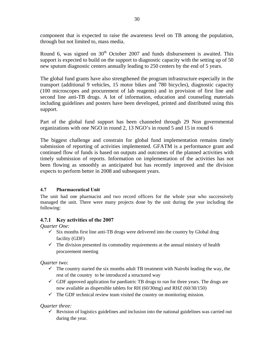component that is expected to raise the awareness level on TB among the population, through but not limited to, mass media.

Round 6, was signed on  $30<sup>th</sup>$  October 2007 and funds disbursement is awaited. This support is expected to build on the support to diagnostic capacity with the setting up of 50 new sputum diagnostic centers annually leading to 250 centers by the end of 5 years.

The global fund grants have also strengthened the program infrastructure especially in the transport (additional 9 vehicles, 15 motor bikes and 780 bicycles), diagnostic capacity (100 microscopes and procurement of lab reagents) and in provision of first line and second line anti-TB drugs. A lot of information, education and counseling materials including guidelines and posters have been developed, printed and distributed using this support.

Part of the global fund support has been channeled through 29 Non governmental organizations with one NGO in round 2, 13 NGO's in round 5 and 15 in round 6

The biggest challenge and constrain for global fund implementation remains timely submission of reporting of activities implemented. GFATM is a performance grant and continued flow of funds is based on outputs and outcomes of the planned activities with timely submission of reports. Information on implementation of the activities has not been flowing as smoothly as anticipated but has recently improved and the division expects to perform better in 2008 and subsequent years.

#### **4.7 Pharmaceutical Unit**

The unit had one pharmacist and two record officers for the whole year who successively managed the unit. There were many projects done by the unit during the year including the following:

## **4.7.1 Key activities of the 2007**

*Quarter One:* 

- $\checkmark$  Six months first line anti-TB drugs were delivered into the country by Global drug facility (GDF)
- $\checkmark$  The division presented its commodity requirements at the annual ministry of health procurement meeting

*Quarter two:* 

- $\checkmark$  The country started the six months adult TB treatment with Nairobi leading the way, the rest of the country to be introduced a structured way
- $\checkmark$  GDF approved application for paediatric TB drugs to run for three years. The drugs are now available as dispersible tablets for RH (60/30mg) and RHZ (60/30/150)
- $\checkmark$  The GDF technical review team visited the country on monitoring mission.

## *Quarter three:*

 $\checkmark$  Revision of logistics guidelines and inclusion into the national guidelines was carried out during the year.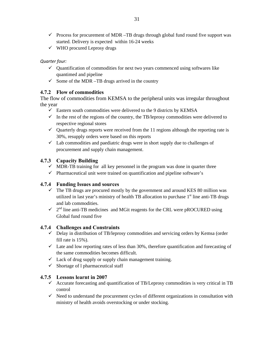- $\checkmark$  Process for procurement of MDR –TB drugs through global fund round five support was started. Delivery is expected within 16-24 weeks
- $\checkmark$  WHO procured Leprosy drugs

#### *Quarter four:*

- $\checkmark$  Quantification of commodities for next two years commenced using softwares like quantimed and pipeline
- $\checkmark$  Some of the MDR –TB drugs arrived in the country

## **4.7.2 Flow of commodities**

The flow of commodities from KEMSA to the peripheral units was irregular throughout the year

- $\checkmark$  Eastern south commodities were delivered to the 9 districts by KEMSA
- $\checkmark$  In the rest of the regions of the country, the TB/leprosy commodities were delivered to respective regional stores
- $\checkmark$  Quarterly drugs reports were received from the 11 regions although the reporting rate is 30%, resupply orders were based on this reports
- $\checkmark$  Lab commodities and paediatric drugs were in short supply due to challenges of procurement and supply chain management.

## **4.7.3 Capacity Building**

- $\checkmark$  MDR-TB training for all key personnel in the program was done in quarter three
- $\checkmark$  Pharmaceutical unit were trained on quantification and pipeline software's

## **4.7.4 Funding Issues and sources**

- $\checkmark$  The TB drugs are procured mostly by the government and around KES 80 million was utilized in last year's ministry of health TB allocation to purchase  $1<sup>st</sup>$  line anti-TB drugs and lab commodities.
- $\checkmark$  2<sup>nd</sup> line anti-TB medicines and MGit reagents for the CRL were pROCURED using Global fund round five

## **4.7.4 Challenges and Constraints**

- $\checkmark$  Delay in distribution of TB/leprosy commodities and servicing orders by Kemsa (order fill rate is 15%).
- $\checkmark$  Late and low reporting rates of less than 30%, therefore quantification and forecasting of the same commodities becomes difficult.
- $\checkmark$  Lack of drug supply or supply chain management training.
- $\checkmark$  Shortage of l pharmaceutical staff

## **4.7.5 Lessons learnt in 2007**

- $\checkmark$  Accurate forecasting and quantification of TB/Leprosy commodities is very critical in TB control
- $\checkmark$  Need to understand the procurement cycles of different organizations in consultation with ministry of health avoids overstocking or under stocking.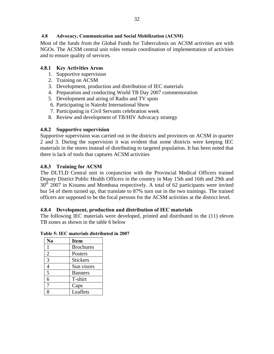#### **4.8 Advocacy, Communication and Social Mobilization (ACSM)**

Most of the funds from the Global Funds for Tuberculosis on ACSM activities are with NGOs. The ACSM central unit roles remain coordination of implementation of activities and to ensure quality of services.

## **4.8.1 Key Activities Areas**

- 1. Supportive supervision
- 2. Training on ACSM
- 3. Development, production and distribution of IEC materials
- 4. Preparation and conducting World TB Day 2007 commemoration
- 5. Development and airing of Radio and TV spots
- 6. Participating in Nairobi International Show
- 7. Participating in Civil Servants celebration week
- 8. Review and development of TB/HIV Advocacy strategy

## **4.8.2 Supportive supervision**

Supportive supervision was carried out in the districts and provinces on ACSM in quarter 2 and 3. During the supervision it was evident that some districts were keeping IEC materials in the stores instead of distributing to targeted population. It has been noted that there is lack of tools that captures ACSM activities

## **4.8.3 Training for ACSM**

The DLTLD Central unit in conjunction with the Provincial Medical Officers trained Deputy District Public Health Officers in the country in May 15th and 16th and 29th and  $30<sup>th</sup>$  2007 in Kisumu and Mombasa respectively. A total of 62 participants were invited but 54 of them turned up, that translate to 87% turn out in the two trainings. The trained officers are supposed to be the focal persons for the ACSM activities at the district level.

## **4.8.4 Development, production and distribution of IEC materials**

The following IEC materials were developed, printed and distributed to the (11) eleven TB zones as shown in the table 6 below

**Table 5: IEC materials distributed in 2007** 

| N <sub>0</sub> | <b>Item</b>      |
|----------------|------------------|
|                | <b>Brochures</b> |
| $\overline{2}$ | Posters          |
| 3              | <b>Stickers</b>  |
| 4              | Sun visors       |
| 5              | <b>Banners</b>   |
| 6              | T-shirt          |
| 7              | Caps             |
|                | Leaflets         |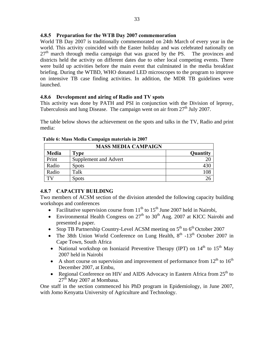## **4.8.5 Preparation for the WTB Day 2007 commemoration**

World TB Day 2007 is traditionally commemorated on 24th March of every year in the world. This activity coincided with the Easter holiday and was celebrated nationally on  $27<sup>th</sup>$  march through media campaign that was graced by the PS. The provinces and districts held the activity on different dates due to other local competing events. There were build up activities before the main event that culminated in the media breakfast briefing. During the WTBD, WHO donated LED microscopes to the program to improve on intensive TB case finding activities. In addition, the MDR TB guidelines were launched.

#### **4.8.6 Development and airing of Radio and TV spots**

This activity was done by PATH and PSI in conjunction with the Division of leprosy, Tuberculosis and lung Disease. The campaign went on air from  $27<sup>th</sup>$  July 2007.

The table below shows the achievement on the spots and talks in the TV, Radio and print media:

| <b>MASS MEDIA CAMPAIGN</b> |                       |                 |  |  |  |
|----------------------------|-----------------------|-----------------|--|--|--|
| <b>Media</b>               | Type                  | <b>Quantity</b> |  |  |  |
| Print                      | Supplement and Advert |                 |  |  |  |
| Radio                      | <b>Spots</b>          | 430             |  |  |  |
| Radio                      | Talk                  | 108             |  |  |  |
|                            | <b>Spots</b>          | 26              |  |  |  |

 **Table 6: Mass Media Campaign materials in 2007** 

## **4.8.7 CAPACITY BUILDING**

Two members of ACSM section of the division attended the following capacity building workshops and conferences

- Facilitative supervision course from  $11<sup>th</sup>$  to  $15<sup>th</sup>$  June 2007 held in Nairobi,
- Environmental Health Congress on  $27<sup>th</sup>$  to  $30<sup>th</sup>$  Aug. 2007 at KICC Nairobi and presented a paper.
- Stop TB Partnership Country-Level ACSM meeting on  $5<sup>th</sup>$  to  $6<sup>th</sup>$  October 2007
- The 38th Union World Conference on Lung Health,  $8<sup>th</sup> -13<sup>th</sup>$  October 2007 in Cape Town, South Africa
- National workshop on Isoniazid Preventive Therapy (IPT) on  $14<sup>th</sup>$  to  $15<sup>th</sup>$  May 2007 held in Nairobi
- A short course on supervision and improvement of performance from  $12<sup>th</sup>$  to  $16<sup>th</sup>$ December 2007, at Embu,
- Regional Conference on HIV and AIDS Advocacy in Eastern Africa from 25<sup>th</sup> to  $27<sup>th</sup>$  May 2007 at Mombasa.

One staff in the section commenced his PhD program in Epidemiology, in June 2007, with Jomo Kenyatta University of Agriculture and Technology.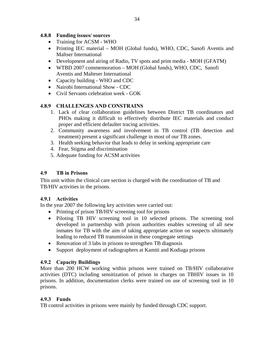### **4.8.8 Funding issues/ sources**

- Training for ACSM WHO
- Printing IEC material MOH (Global funds), WHO, CDC, Sanofi Aventis and Maltser International
- Development and airing of Radio, TV spots and print media MOH (GFATM)
- WTBD 2007 commemoration MOH (Global funds), WHO, CDC, Sanofi Aventis and Malteser International
- Capacity building WHO and CDC
- Nairobi International Show CDC
- Civil Servants celebration week GOK

## **4.8.9 CHALLENGES AND CONSTRAINS**

- 1. Lack of clear collaboration guidelines between District TB coordinators and PHOs making it difficult to effectively distribute IEC materials and conduct proper and efficient defaulter tracing activities.
- 2. Community awareness and involvement in TB control (TB detection and treatment) present a significant challenge in most of our TB zones.
- 3. Health seeking behavior that leads to delay in seeking appropriate care
- 4. Fear, Stigma and discrimination
- 5. Adequate funding for ACSM activities

## **4.9 TB in Prisons**

This unit within the clinical care section is charged with the coordination of TB and TB/HIV activities in the prisons.

## **4.9.1 Activities**

In the year 2007 the following key activities were carried out:

- Printing of prison TB/HIV screening tool for prisons
- Piloting TB HIV screening tool in 10 selected prisons. The screening tool developed in partnership with prison authorities enables screening of all new inmates for TB with the aim of taking appropriate action on suspects ultimately leading to reduced TB transmission in these congregate settings
- Renovation of 3 labs in prisons to strengthen TB diagnosis
- Support deployment of radiographers at Kamiti and Kodiaga prisons

## **4.9.2 Capacity Buildings**

More than 200 HCW working within prisons were trained on TB/HIV collaborative activities (DTC) including sensitization of prison in charges on TBHIV issues in 10 prisons. In addition, documentation clerks were trained on use of screening tool in 10 prisons.

## **4.9.3 Funds**

TB control activities in prisons were mainly by funded through CDC support.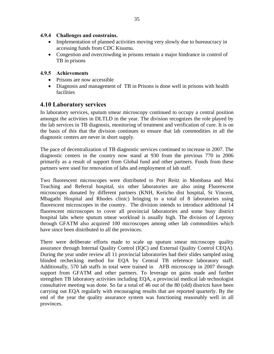#### **4.9.4 Challenges and constrains.**

- Implementation of planned activities moving very slowly due to bureaucracy in accessing funds from CDC Kisumu.
- Congestion and overcrowding in prisons remain a major hindrance in control of TB in prisons

## **4.9.5 Achievements**

- Prisons are now accessible
- Diagnosis and management of TB in Prisons is done well in prisons with health facilities

## **4.10 Laboratory services**

In laboratory services, sputum smear microscopy continued to occupy a central position amongst the activities in DLTLD in the year. The division recognizes the role played by the lab services in TB diagnosis, monitoring of treatment and verification of cure. It is on the basis of this that the division continues to ensure that lab commodities in all the diagnostic centers are never in short supply.

The pace of decentralization of TB diagnostic services continued to increase in 2007. The diagnostic centers in the country now stand at 930 from the previous 770 in 2006 primarily as a result of support from Global fund and other partners. Funds from these partners were used for renovation of labs and employment of lab staff.

Two fluorescent microscopes were distributed to Port Reitz in Mombasa and Moi Teaching and Referral hospital, six other laboratories are also using Fluorescent microscopes donated by different partners (KNH, Kericho dist hospital, St Vincent, Mbagathi Hospital and Rhodes clinic) bringing to a total of 8 laboratories using fluorescent microscopes in the country. The division intends to introduce additional 14 fluorescent microscopes to cover all provincial laboratories and some busy district hospital labs where sputum smear workload is usually high. The division of Leprosy through GFATM also acquired 100 microscopes among other lab commodities which have since been distributed to all the provinces.

There were deliberate efforts made to scale up sputum smear microscopy quality assurance through Internal Quality Control (IQC) and External Quality Control CEQA). During the year under review all 11 provincial laboratories had their slides sampled using blinded rechecking method for EQA by Central TB reference laboratory staff. Additionally, 570 lab staffs in total were trained in AFB microscopy in 2007 through support from GFATM and other partners. To leverage on gains made and further strengthen TB laboratory activities including EQA, a provincial medical lab technologist consultative meeting was done. So far a total of 46 out of the 80 (old) districts have been carrying out EQA regularly with encouraging results that are reported quarterly. By the end of the year the quality assurance system was functioning reasonably well in all provinces.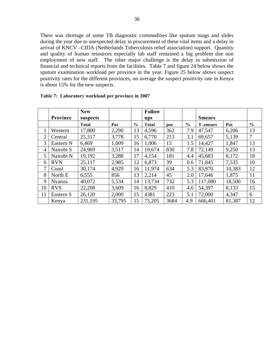There was shortage of some TB diagnostic commodities like sputum mugs and slides during the year due to unexpected delay in procurement of these vital items and a delay in arrival of KNCV –CIDA (Netherlands Tuberculosis relief association) support. Quantity and quality of human resources especially lab staff remained a big problem due non employment of new staff. The other major challenge is the delay in submission of financial and technical reports from the facilities. Table 7 and figure 24 below shows the sputum examination workload per province in the year. Figure 25 below shows suspect positivity rates for the different provinces, on average the suspect positivity rate in Kenya is about 15% for the new suspects.

|                |                 | <b>New</b>   |        |               | <b>Follow</b> |      |               |                  |        |                |
|----------------|-----------------|--------------|--------|---------------|---------------|------|---------------|------------------|--------|----------------|
|                | <b>Province</b> | suspects     |        |               | ups           |      |               | <b>Smears</b>    |        |                |
|                |                 | <b>Total</b> | Pos    | $\frac{6}{6}$ | <b>Total</b>  | pos  | $\frac{0}{0}$ | <b>T</b> .smears | Pos    | $\frac{6}{6}$  |
|                | Western         | 17,800       | 2,290  | 13            | 4,596         | 362  | 7.9           | 47,547           | 6,206  | 13             |
| $\overline{2}$ | Central         | 25,317       | 3,778  | 15            | 6,770         | 213  | 3.1           | 69,657           | 5,139  | $\overline{7}$ |
| 3              | Eastern N       | 6,469        | 1,009  | 16            | 1,006         | 15   | 1.5           | 14,427           | 1,847  | 13             |
| 4              | Nairobi S       | 24,969       | 3,517  | 14            | 10,674        | 830  | 7.8           | 72,149           | 9,250  | 13             |
| 5              | Nairobi N       | 19,192       | 3,288  | 17            | 4,154         | 181  | 4.4           | 45,683           | 8,172  | 18             |
| 6              | <b>RVN</b>      | 25,117       | 2,985  | 12            | 6,873         | 39   | 0.6           | 71,845           | 7,535  | 10             |
| 7              | Coast           | 30,174       | 4,929  | 16            | 11,974        | 634  | 5.3           | 83,970           | 10,383 | 12             |
| 8              | North E         | 6,555        | 856    | 13            | 2,214         | 45   | 2.0           | 17,646           | 1,875  | 11             |
| 9              | Nyanza          | 40,072       | 5,534  | 14            | 13,734        | 732  | 5.3           | 117,080          | 18,500 | 16             |
| 10             | <b>RVS</b>      | 22,208       | 3,609  | 16            | 8,829         | 410  | 4.6           | 54,397           | 8,133  | 15             |
| 11             | Eastern S       | 26,120       | 2,000  | 15            | 4381          | 223  | 5.1           | 72,000           | 4,347  | 6              |
|                | Kenya           | 231,195      | 33,795 | 15            | 75,205        | 3684 | 4.9           | 666,401          | 81,387 | 12             |

#### **Table 7: Laboratory workload per province in 2007**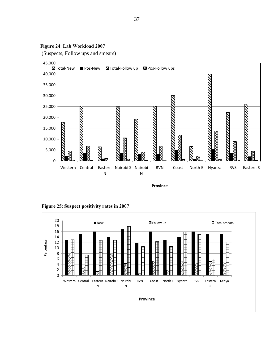**Figure 24**: **Lab Workload 2007** 

(Suspects, Follow ups and smears)

![](_page_46_Figure_2.jpeg)

**Figure 25**: **Suspect positivity rates in 2007** 

![](_page_46_Figure_4.jpeg)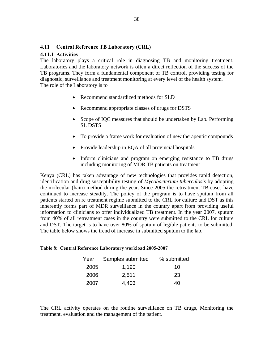#### **4.11 Central Reference TB Laboratory (CRL)**

#### **4.11.1 Activities**

The laboratory plays a critical role in diagnosing TB and monitoring treatment. Laboratories and the laboratory network is often a direct reflection of the success of the TB programs. They form a fundamental component of TB control, providing testing for diagnostic, surveillance and treatment monitoring at every level of the health system. The role of the Laboratory is to

- Recommend standardized methods for SLD
- Recommend appropriate classes of drugs for DSTS
- Scope of IQC measures that should be undertaken by Lab. Performing SL DSTS
- To provide a frame work for evaluation of new therapeutic compounds
- Provide leadership in EQA of all provincial hospitals
- Inform clinicians and program on emerging resistance to TB drugs including monitoring of MDR TB patients on treatment

Kenya (CRL) has taken advantage of new technologies that provides rapid detection, identification and drug susceptibility testing of *Mycobacterium tuberculosis* by adopting the molecular (hain) method during the year. Since 2005 the retreatment TB cases have continued to increase steadily. The policy of the program is to have sputum from all patients started on re treatment regime submitted to the CRL for culture and DST as this inherently forms part of MDR surveillance in the country apart from providing useful information to clinicians to offer individualized TB treatment. In the year 2007, sputum from 40% of all retreatment cases in the country were submitted to the CRL for culture and DST. The target is to have over 80% of sputum of legible patients to be submitted. The table below shows the trend of increase in submitted sputum to the lab.

#### **Table 8: Central Reference Laboratory workload 2005-2007**

| Year | Samples submitted | % submitted |
|------|-------------------|-------------|
| 2005 | 1,190             | 10          |
| 2006 | 2,511             | 23          |
| 2007 | 4,403             | 40          |

The CRL activity operates on the routine surveillance on TB drugs, Monitoring the treatment, evaluation and the management of the patient.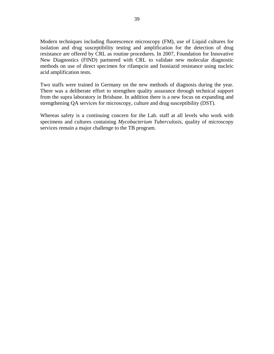Modern techniques including fluorescence microscopy (FM), use of Liquid cultures for isolation and drug susceptibility testing and amplification for the detection of drug resistance are offered by CRL as routine procedures. In 2007, Foundation for Innovative New Diagnostics (FIND) partnered with CRL to validate new molecular diagnostic methods on use of direct specimen for rifampcin and Isoniazid resistance using nucleic acid amplification tests.

Two staffs were trained in Germany on the new methods of diagnosis during the year. There was a deliberate effort to strengthen quality assurance through technical support from the supra laboratory in Brisbane. In addition there is a new focus on expanding and strengthening QA services for microscopy, culture and drug susceptibility (DST).

Whereas safety is a continuing concern for the Lab. staff at all levels who work with specimens and cultures containing *Mycobacterium Tuberculosis,* quality of microscopy services remain a major challenge to the TB program.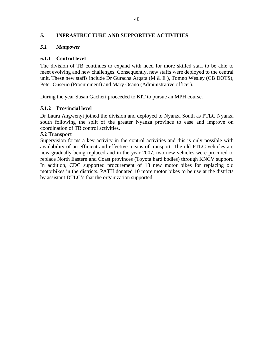### **5. INFRASTRUCTURE AND SUPPORTIVE ACTIVITIES**

#### *5.1 Manpower*

#### **5.1.1 Central level**

The division of TB continues to expand with need for more skilled staff to be able to meet evolving and new challenges. Consequently, new staffs were deployed to the central unit. These new staffs include Dr Guracha Argata ( $M & E$ ), Tomno Wesley (CB DOTS), Peter Onserio (Procurement) and Mary Osano (Administrative officer).

During the year Susan Gacheri procceded to KIT to pursue an MPH course.

#### **5.1.2 Provincial level**

Dr Laura Angwenyi joined the division and deployed to Nyanza South as PTLC Nyanza south following the split of the greater Nyanza province to ease and improve on coordination of TB control activities.

#### **5.2 Transport**

Supervision forms a key activity in the control activities and this is only possible with availability of an efficient and effective means of transport. The old PTLC vehicles are now gradually being replaced and in the year 2007, two new vehicles were procured to replace North Eastern and Coast provinces (Toyota hard bodies) through KNCV support. In addition, CDC supported procurement of 18 new motor bikes for replacing old motorbikes in the districts. PATH donated 10 more motor bikes to be use at the districts by assistant DTLC's that the organization supported.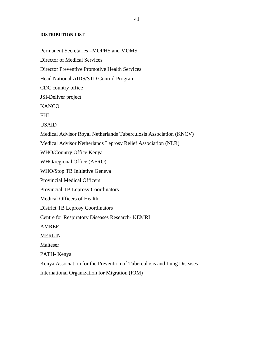#### **DISTRIBUTION LIST**

Permanent Secretaries –MOPHS and MOMS Director of Medical Services Director Preventive Promotive Health Services Head National AIDS/STD Control Program CDC country office JSI-Deliver project **KANCO** FHI USAID Medical Advisor Royal Netherlands Tuberculosis Association (KNCV) Medical Advisor Netherlands Leprosy Relief Association (NLR) WHO/Country Office Kenya WHO/regional Office (AFRO) WHO/Stop TB Initiative Geneva Provincial Medical Officers Provincial TB Leprosy Coordinators Medical Officers of Health District TB Leprosy Coordinators Centre for Respiratory Diseases Research- KEMRI AMREF MERLIN Malteser PATH- Kenya Kenya Association for the Prevention of Tuberculosis and Lung Diseases International Organization for Migration (IOM)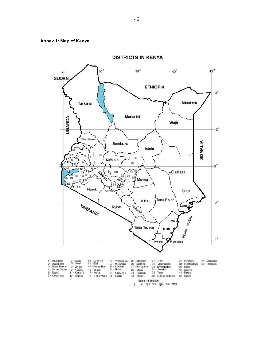![](_page_51_Figure_0.jpeg)

![](_page_51_Figure_1.jpeg)

**DISTRICTS IN KENYA** 

| 1 - Mt. Elgon<br>2 - Marakwet<br>3 - Trans Nzoia<br>4 - Uasin Gishu<br>5 - Nandi<br>6 - Kakamega | - Busia<br>8 - Siaya<br>$9 - V$ higa<br>10 - Kisumu<br>11 - Kericho<br>12 - Bornet | 13 - Nvamira<br>14 - Kisii<br>15 - Homa Bay<br>16 - Migori<br>17 - Kuria<br>18 - Trans Mara 24 - Embu | 19 - Nyandarua<br>20 - Murang'a<br>21 - Kiambu<br>22 - Thika<br>23 - Kirinyaga | 25 - Mbeere<br>26 - Malindi<br>27 - Bungoma<br>28 - Meru<br>29 - Baringo<br>30 - Nveri | 31 - Nithi<br>32 - Machakos<br>33 - Nyambene<br>34 - Bondo<br>$35 - T$ eso<br>36 - Butere Mumisa | 37 - Nyando<br>38 - Rachuonvo<br>$39 - \mathrm{Suba}$<br>40 - Gucha<br>$41 -$ Keiyo<br>42 - Buret | 44 - Maragua<br>43 - Tharaka<br>ESPECTATION AT LATT |  |
|--------------------------------------------------------------------------------------------------|------------------------------------------------------------------------------------|-------------------------------------------------------------------------------------------------------|--------------------------------------------------------------------------------|----------------------------------------------------------------------------------------|--------------------------------------------------------------------------------------------------|---------------------------------------------------------------------------------------------------|-----------------------------------------------------|--|
|                                                                                                  |                                                                                    | Scale 1:4 500 000<br>250 Kms<br>200<br>100 150<br>$50^{\circ}$                                        |                                                                                |                                                                                        |                                                                                                  |                                                                                                   |                                                     |  |